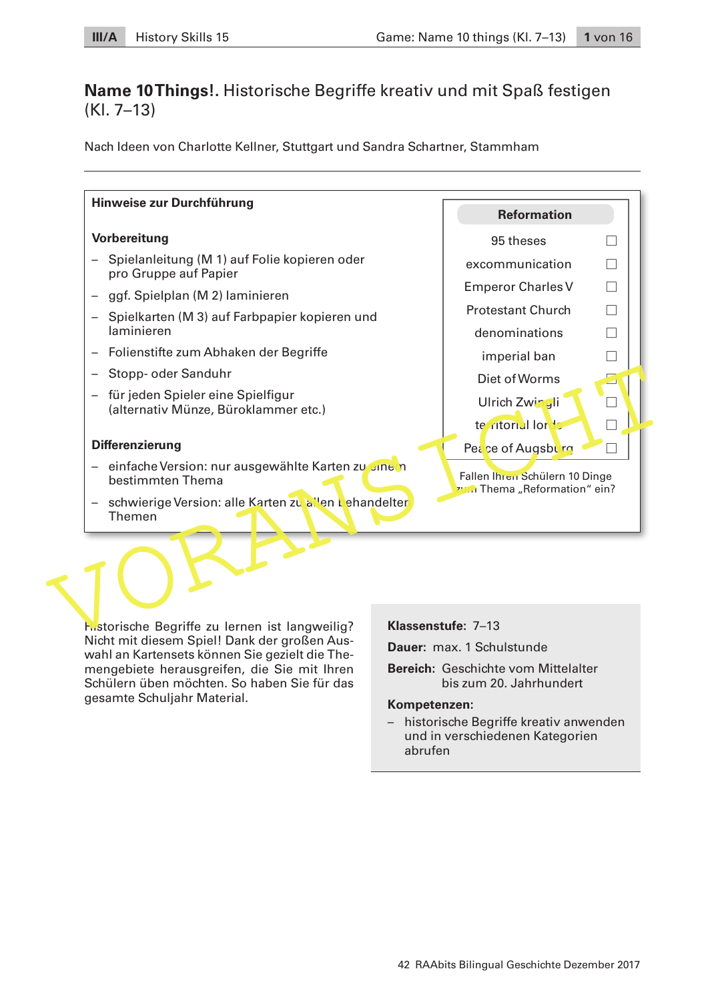## **Name 10 Things!.** Historische Begriffe kreativ und mit Spaß festigen (Kl. 7–13)

Nach Ideen von Charlotte Kellner, Stuttgart und Sandra Schartner, Stammham



Historische Begriffe zu lernen ist langweilig? Nicht mit diesem Spiel! Dank der großen Auswahl an Kartensets können Sie gezielt die Themengebiete herausgreifen, die Sie mit Ihren Schülern üben möchten. So haben Sie für das gesamte Schuljahr Material.

**Klassenstufe:** 7–13

**Dauer:** max. 1 Schulstunde

**Bereich:** Geschichte vom Mittelalter bis zum 20. Jahrhundert

#### **Kompetenzen:**

 – historische Begriffe kreativ anwenden und in verschiedenen Kategorien abrufen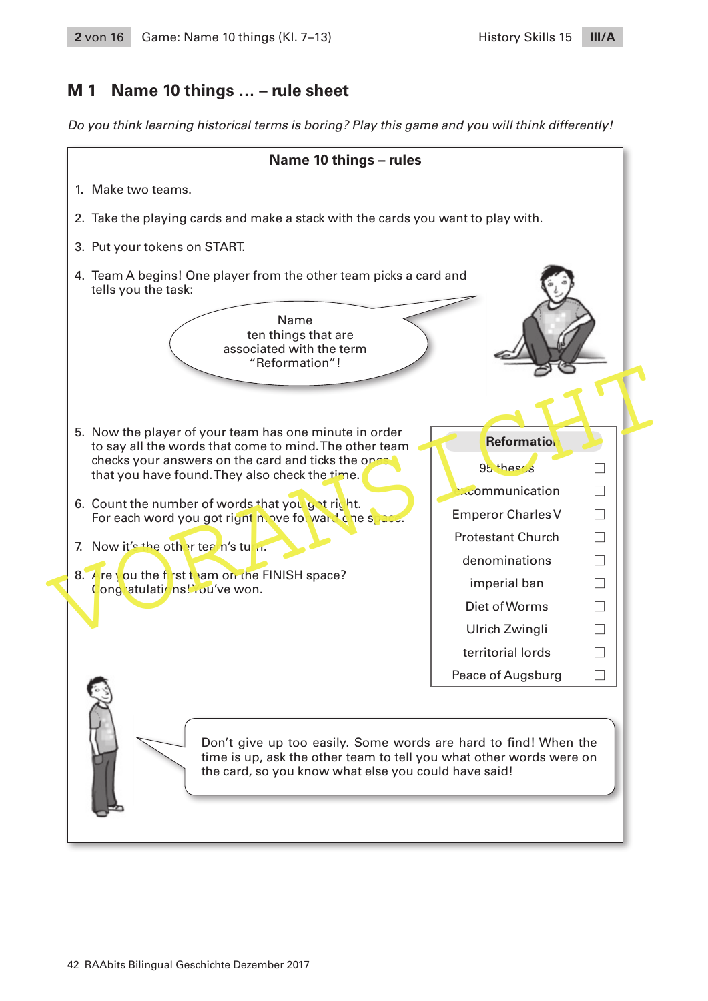### **M 1 Name 10 things … – rule sheet**

Do you think learning historical terms is boring? Play this game and you will think differently!

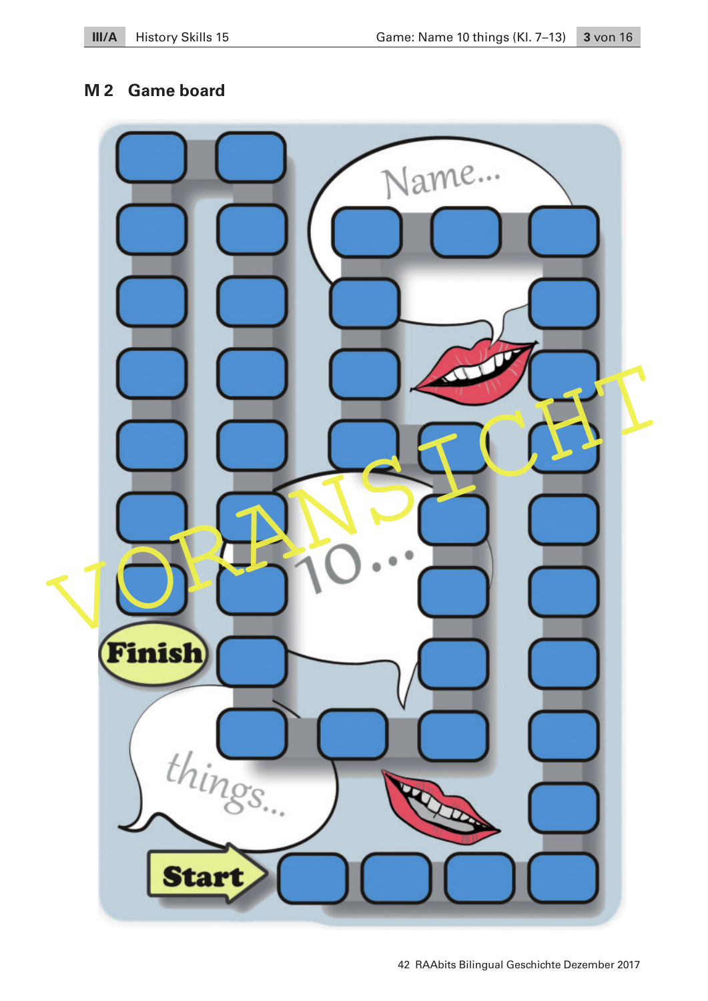## **M 2 Game board**